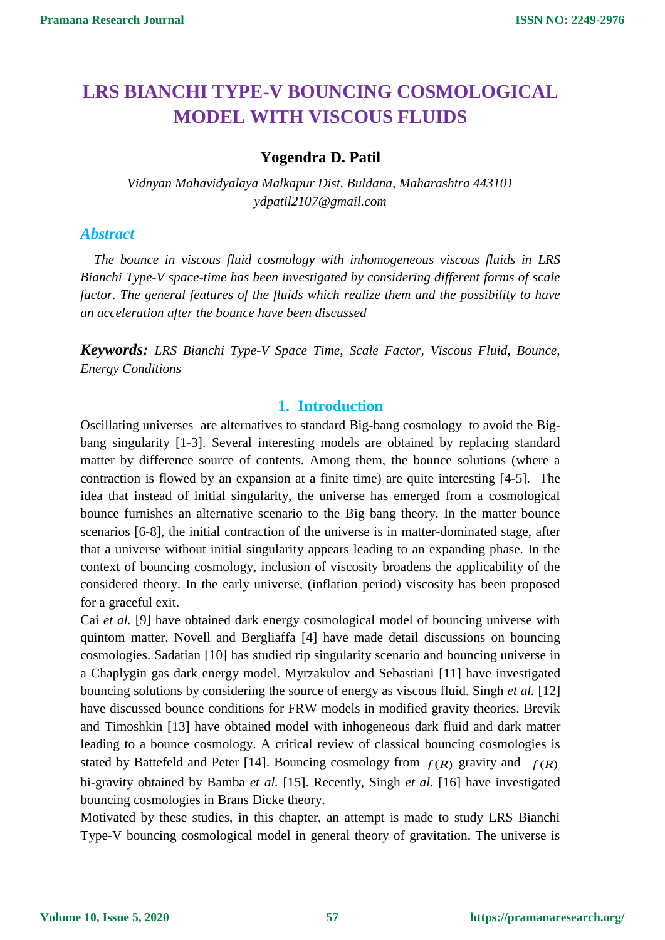# **LRS BIANCHI TYPE-V BOUNCING COSMOLOGICAL MODEL WITH VISCOUS FLUIDS**

# **Yogendra D. Patil**

*Vidnyan Mahavidyalaya Malkapur Dist. Buldana, Maharashtra 443101 ydpatil2107@gmail.com*

## *Abstract*

*The bounce in viscous fluid cosmology with inhomogeneous viscous fluids in LRS Bianchi Type-V space-time has been investigated by considering different forms of scale factor. The general features of the fluids which realize them and the possibility to have an acceleration after the bounce have been discussed*

*Keywords: LRS Bianchi Type-V Space Time, Scale Factor, Viscous Fluid, Bounce, Energy Conditions*

### **1. Introduction**

Oscillating universes are alternatives to standard Big-bang cosmology to avoid the Bigbang singularity [1-3]. Several interesting models are obtained by replacing standard matter by difference source of contents. Among them, the bounce solutions (where a contraction is flowed by an expansion at a finite time) are quite interesting [4-5]. The idea that instead of initial singularity, the universe has emerged from a cosmological bounce furnishes an alternative scenario to the Big bang theory. In the matter bounce scenarios [6-8], the initial contraction of the universe is in matter-dominated stage, after that a universe without initial singularity appears leading to an expanding phase. In the context of bouncing cosmology, inclusion of viscosity broadens the applicability of the considered theory. In the early universe, (inflation period) viscosity has been proposed for a graceful exit.

Cai *et al.* [9] have obtained dark energy cosmological model of bouncing universe with quintom matter. Novell and Bergliaffa [4] have made detail discussions on bouncing cosmologies. Sadatian [10] has studied rip singularity scenario and bouncing universe in a Chaplygin gas dark energy model. Myrzakulov and Sebastiani [11] have investigated bouncing solutions by considering the source of energy as viscous fluid. Singh *et al.* [12] have discussed bounce conditions for FRW models in modified gravity theories. Brevik and Timoshkin [13] have obtained model with inhogeneous dark fluid and dark matter leading to a bounce cosmology. A critical review of classical bouncing cosmologies is stated by Battefeld and Peter [14]. Bouncing cosmology from  $f(R)$  gravity and  $f(R)$ bi-gravity obtained by Bamba *et al.* [15]. Recently, Singh *et al.* [16] have investigated bouncing cosmologies in Brans Dicke theory.

Motivated by these studies, in this chapter, an attempt is made to study LRS Bianchi Type-V bouncing cosmological model in general theory of gravitation. The universe is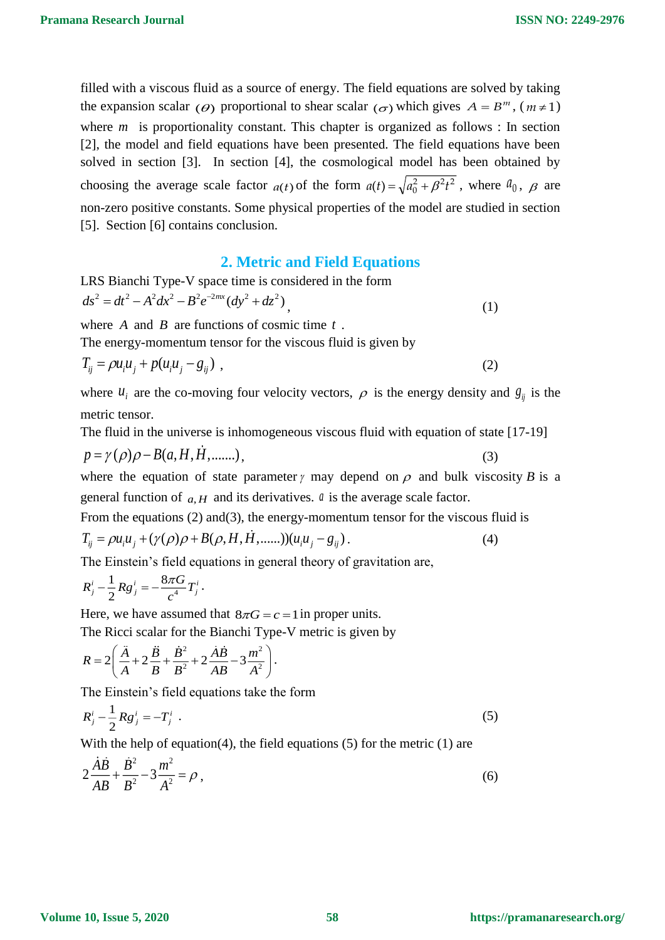filled with a viscous fluid as a source of energy. The field equations are solved by taking the expansion scalar ( $\theta$ ) proportional to shear scalar ( $\sigma$ ) which gives  $A = B^m$ , ( $m \ne 1$ ) where  $m$  is proportionality constant. This chapter is organized as follows : In section [2], the model and field equations have been presented. The field equations have been solved in section [3]. In section [4], the cosmological model has been obtained by choosing the average scale factor  $a(t)$  of the form  $a(t) = \sqrt{a_0^2 + \beta^2 t^2}$  $a(t) = \sqrt{a_0^2 + \beta^2 t^2}$ , where  $a_0$ ,  $\beta$  are non-zero positive constants. Some physical properties of the model are studied in section [5]. Section [6] contains conclusion.

### **2. Metric and Field Equations**

LRS Bianchi Type-V space time is considered in the form  
\n
$$
ds^2 = dt^2 - A^2 dx^2 - B^2 e^{-2nx} (dy^2 + dz^2)
$$
\n(1)

where  $A$  and  $B$  are functions of cosmic time  $t$ .

The energy-momentum tensor for the viscous fluid is given by

$$
T_{ij} = \rho u_i u_j + p(u_i u_j - g_{ij}) \tag{2}
$$

where  $u_i$  are the co-moving four velocity vectors,  $\rho$  is the energy density and  $g_{ij}$  is the metric tensor.

The fluid in the universe is inhomogeneous viscous fluid with equation of state [17-19]

$$
p = \gamma(\rho)\rho - B(a, H, H, \dots)
$$
\n<sup>(3)</sup>

where the equation of state parameter  $\gamma$  may depend on  $\rho$  and bulk viscosity *B* is a general function of  $a, H$  and its derivatives.  $a$  is the average scale factor.

From the equations (2) and(3), the energy-momentum tensor for the viscous fluid is

$$
T_{ij} = \rho u_i u_j + (\gamma(\rho)\rho + B(\rho, H, H, \dots)) (u_i u_j - g_{ij}).
$$
\n(4)

The Einstein's field equations in general theory of gravitation are,

$$
R_j^i - \frac{1}{2} R g_j^i = -\frac{8\pi G}{c^4} T_j^i.
$$

Here, we have assumed that  $8\pi G = c = 1$  in proper units.

The Ricci scalar for the Bianchi Type-V metric is given by

$$
R = 2\left(\frac{\ddot{A}}{A} + 2\frac{\ddot{B}}{B} + \frac{\dot{B}^2}{B^2} + 2\frac{\dot{A}\dot{B}}{AB} - 3\frac{m^2}{A^2}\right).
$$

The Einstein's field equations take the form

$$
R_j^i - \frac{1}{2} R g_j^i = -T_j^i \tag{5}
$$

With the help of equation(4), the field equations  $(5)$  for the metric  $(1)$  are

$$
2\frac{\dot{A}\dot{B}}{AB} + \frac{\dot{B}^2}{B^2} - 3\frac{m^2}{A^2} = \rho\,,\tag{6}
$$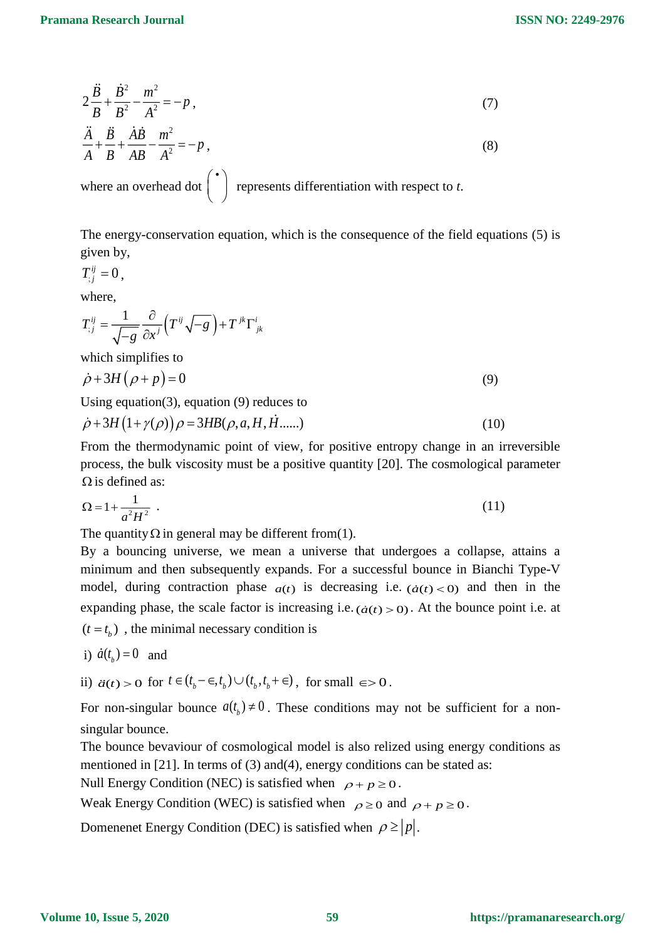$$
2\frac{\ddot{B}}{B} + \frac{\dot{B}^2}{B^2} - \frac{m^2}{A^2} = -p\,,\tag{7}
$$

$$
\frac{\ddot{A}}{A} + \frac{\ddot{B}}{B} + \frac{\dot{A}\dot{B}}{AB} - \frac{m^2}{A^2} = -p\,,\tag{8}
$$

where an overhead dot  $\begin{pmatrix} \cdot \\ \cdot \end{pmatrix}$ represents differentiation with respect to *t*.

The energy-conservation equation, which is the consequence of the field equations (5) is given by,

$$
T_{;j}^{ij}=0\,,
$$

where,

$$
T_{;j}^{ij} = \frac{1}{\sqrt{-g}} \frac{\partial}{\partial x^j} \left( T^{ij} \sqrt{-g} \right) + T^{jk} \Gamma^i_{jk}
$$

which simplifies to

$$
\dot{\rho} + 3H(\rho + p) = 0\tag{9}
$$

Using equation(3), equation (9) reduces to

$$
\dot{\rho} + 3H\left(1 + \gamma(\rho)\right)\rho = 3HB(\rho, a, H, H \dots)
$$
\n(10)

From the thermodynamic point of view, for positive entropy change in an irreversible process, the bulk viscosity must be a positive quantity [20]. The cosmological parameter  $\Omega$  is defined as:

$$
\Omega = 1 + \frac{1}{a^2 H^2} \tag{11}
$$

The quantity  $\Omega$  in general may be different from(1).

By a bouncing universe, we mean a universe that undergoes a collapse, attains a minimum and then subsequently expands. For a successful bounce in Bianchi Type-V model, during contraction phase  $a(t)$  is decreasing i.e.  $(\dot{a}(t) < 0)$  and then in the expanding phase, the scale factor is increasing i.e.  $(\dot{a}(t) > 0)$ . At the bounce point i.e. at  $(t = t<sub>b</sub>)$ , the minimal necessary condition is

- i)  $\dot{a}(t_b) = 0$  and
- ii)  $\ddot{a}(t) > 0$  for  $t \in (t_b \epsilon, t_b) \cup (t_b, t_b + \epsilon)$ , for small  $\epsilon > 0$ .

For non-singular bounce  $a(t_b) \neq 0$ . These conditions may not be sufficient for a nonsingular bounce.

The bounce bevaviour of cosmological model is also relized using energy conditions as mentioned in [21]. In terms of (3) and(4), energy conditions can be stated as:

Null Energy Condition (NEC) is satisfied when  $\rho + p \ge 0$ .

Weak Energy Condition (WEC) is satisfied when  $\rho \ge 0$  and  $\rho + p \ge 0$ .

Domenenet Energy Condition (DEC) is satisfied when  $\rho \ge |p|$ .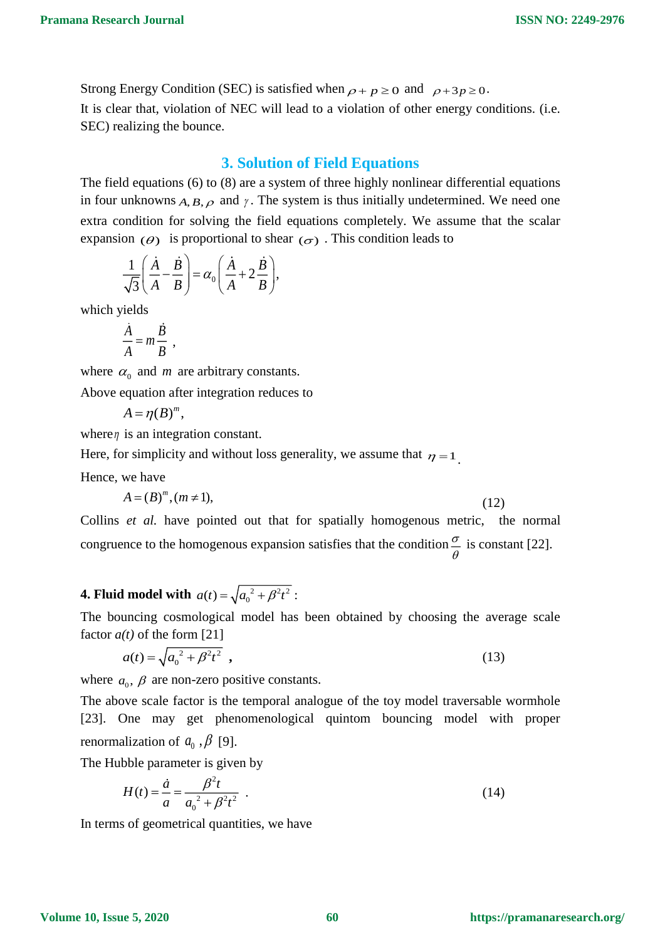Strong Energy Condition (SEC) is satisfied when  $\rho + p \ge 0$  and  $\rho + 3p \ge 0$ . It is clear that, violation of NEC will lead to a violation of other energy conditions. (i.e. SEC) realizing the bounce.

## **3. Solution of Field Equations**

The field equations (6) to (8) are a system of three highly nonlinear differential equations in four unknowns  $A, B, \rho$  and  $\gamma$ . The system is thus initially undetermined. We need one extra condition for solving the field equations completely. We assume that the scalar expansion  $(\theta)$  is proportional to shear  $(\sigma)$ . This condition leads to

$$
\frac{1}{\sqrt{3}}\left(\frac{\dot{A}}{A}-\frac{\dot{B}}{B}\right)=\alpha_0\left(\frac{\dot{A}}{A}+2\frac{\dot{B}}{B}\right),\,
$$

which yields

$$
\frac{\dot{A}}{A} = m \frac{\dot{B}}{B} ,
$$

where  $\alpha_0$  and *m* are arbitrary constants.

Above equation after integration reduces to

$$
A=\eta(B)^m,
$$

where  $\eta$  is an integration constant.

Here, for simplicity and without loss generality, we assume that  $\eta = 1$ .

Hence, we have

$$
A = (B)^m, (m \neq 1),\tag{12}
$$

Collins *et al.* have pointed out that for spatially homogenous metric, the normal congruence to the homogenous expansion satisfies that the condition  $\frac{\sigma}{\sigma}$  $\frac{\sigma}{\theta}$  is constant [22].

# **4. Fluid model with**  $a(t) = \sqrt{a_0^2 + \beta^2 t^2}$ :

The bouncing cosmological model has been obtained by choosing the average scale factor *a(t)* of the form [21]

$$
a(t) = \sqrt{a_0^2 + \beta^2 t^2} \tag{13}
$$

where  $a_0$ ,  $\beta$  are non-zero positive constants.

The above scale factor is the temporal analogue of the toy model traversable wormhole [23]. One may get phenomenological quintom bouncing model with proper renormalization of  $a_0$ ,  $\beta$  [9].

The Hubble parameter is given by

$$
H(t) = \frac{\dot{a}}{a} = \frac{\beta^2 t}{a_0^2 + \beta^2 t^2} \tag{14}
$$

In terms of geometrical quantities, we have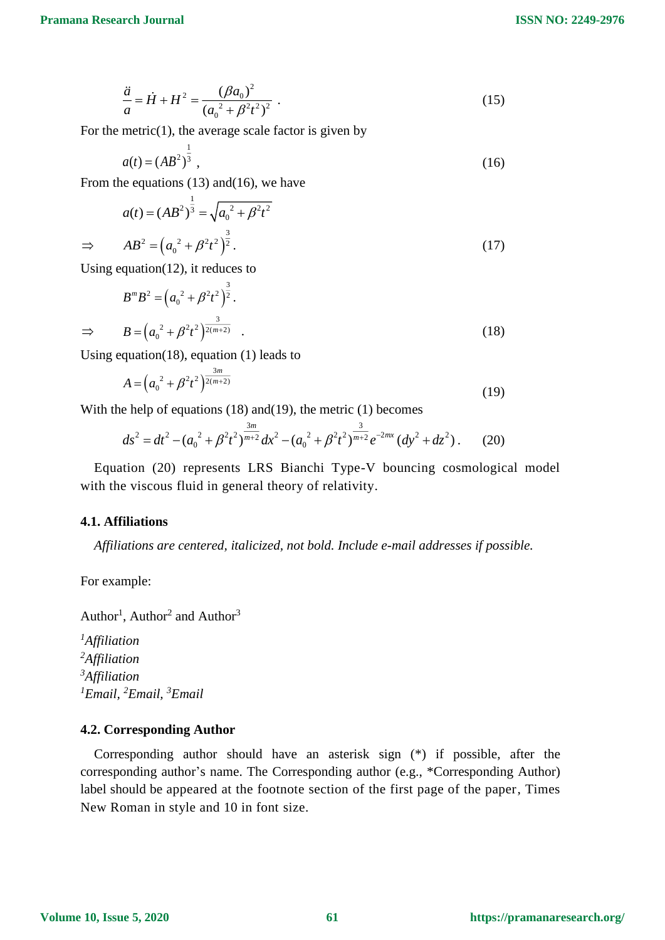$$
\frac{\ddot{a}}{a} = \dot{H} + H^2 = \frac{(\beta a_0)^2}{(a_0^2 + \beta^2 t^2)^2} \ . \tag{15}
$$

For the metric $(1)$ , the average scale factor is given by

$$
a(t) = (AB^2)^{\frac{1}{3}}, \tag{16}
$$

From the equations (13) and(16), we have

$$
a(t) = (AB2)\frac{1}{3} = \sqrt{a_0^2 + \beta^2 t^2}
$$
  
\n
$$
\Rightarrow AB2 = (a_0^2 + \beta^2 t^2)\frac{3}{2}.
$$
 (17)

Using equation(12), it reduces to

$$
B^{m}B^{2} = (a_{0}^{2} + \beta^{2}t^{2})^{\frac{3}{2}}.
$$
  
\n
$$
\Rightarrow B = (a_{0}^{2} + \beta^{2}t^{2})^{\frac{3}{2(m+2)}}.
$$
\n(18)

Using equation(18), equation (1) leads to

$$
A = \left(a_0^2 + \beta^2 t^2\right)^{\frac{3m}{2(m+2)}}
$$
\n(19)

With the help of equations (18) and (19), the metric (1) becomes

$$
ds^{2} = dt^{2} - (a_{0}^{2} + \beta^{2} t^{2})^{\frac{3m}{m+2}} dx^{2} - (a_{0}^{2} + \beta^{2} t^{2})^{\frac{3}{m+2}} e^{-2mx} (dy^{2} + dz^{2}).
$$
 (20)

Equation (20) represents LRS Bianchi Type-V bouncing cosmological model with the viscous fluid in general theory of relativity.

#### **4.1. Affiliations**

*Affiliations are centered, italicized, not bold. Include e-mail addresses if possible.* 

For example:

Author<sup>1</sup>, Author<sup>2</sup> and Author<sup>3</sup>

*Affiliation Affiliation Affiliation Email, <sup>2</sup>Email, <sup>3</sup>Email*

#### **4.2. Corresponding Author**

Corresponding author should have an asterisk sign (\*) if possible, after the corresponding author's name. The Corresponding author (e.g., \*Corresponding Author) label should be appeared at the footnote section of the first page of the paper, Times New Roman in style and 10 in font size.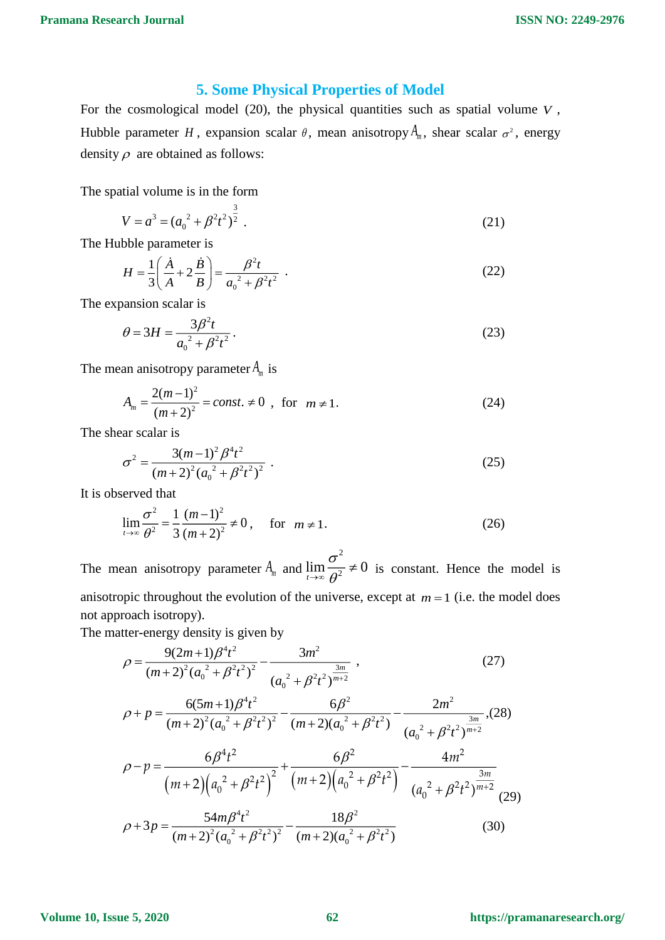# **5. Some Physical Properties of Model**

For the cosmological model  $(20)$ , the physical quantities such as spatial volume  $V$ , Hubble parameter *H*, expansion scalar  $\theta$ , mean anisotropy  $A_m$ , shear scalar  $\sigma^2$ , energy density  $\rho$  are obtained as follows:

The spatial volume is in the form

$$
V = a3 = (a02 + \beta2 t2)\frac{3}{2}.
$$
 (21)

The Hubble parameter is

$$
H = \frac{1}{3} \left( \frac{\dot{A}}{A} + 2 \frac{\dot{B}}{B} \right) = \frac{\beta^2 t}{a_0^2 + \beta^2 t^2} \tag{22}
$$

The expansion scalar is

$$
\theta = 3H = \frac{3\beta^2 t}{a_0^2 + \beta^2 t^2}.
$$
\n(23)

The mean anisotropy parameter  $A_m$  is

$$
A_m = \frac{2(m-1)^2}{(m+2)^2} = const. \neq 0 \quad \text{for} \quad m \neq 1. \tag{24}
$$

The shear scalar is

$$
\sigma^2 = \frac{3(m-1)^2 \beta^4 t^2}{(m+2)^2 (a_0^2 + \beta^2 t^2)^2} \ . \tag{25}
$$

It is observed that

$$
\lim_{t \to \infty} \frac{\sigma^2}{\theta^2} = \frac{1}{3} \frac{(m-1)^2}{(m+2)^2} \neq 0, \quad \text{for } m \neq 1.
$$
 (26)

The mean anisotropy parameter  $A_m$  and 2  $\lim_{t\to\infty}\frac{\sigma}{\theta^2}\neq 0$  $\frac{\partial^2}{\partial^2} \neq 0$  is constant. Hence the model is anisotropic throughout the evolution of the universe, except at  $m = 1$  (i.e. the model does not approach isotropy).

The matter-energy density is given by

$$
\rho = \frac{9(2m+1)\beta^4 t^2}{(m+2)^2 (a_0^2 + \beta^2 t^2)^2} - \frac{3m^2}{(a_0^2 + \beta^2 t^2)^{\frac{3m}{m+2}}},
$$
\n(27)

$$
\rho + p = \frac{6(5m+1)\beta^{4}t^{2}}{(m+2)^{2}(a_{0}^{2}+\beta^{2}t^{2})^{2}} - \frac{6\beta^{2}}{(m+2)(a_{0}^{2}+\beta^{2}t^{2})} - \frac{2m^{2}}{(a_{0}^{2}+\beta^{2}t^{2})^{\frac{3m}{m+2}}}
$$
(28)  

$$
\rho - p = \frac{6\beta^{4}t^{2}}{(m+2)(a_{0}^{2}+\beta^{2}t^{2})^{2}} + \frac{6\beta^{2}}{(m+2)(a_{0}^{2}+\beta^{2}t^{2})} - \frac{4m^{2}}{(a_{0}^{2}+\beta^{2}t^{2})^{\frac{3m}{m+2}}}
$$
(29)  

$$
\rho + 3p = \frac{54m\beta^{4}t^{2}}{(m+2)^{2}(a_{0}^{2}+\beta^{2}t^{2})^{2}} - \frac{18\beta^{2}}{(m+2)(a_{0}^{2}+\beta^{2}t^{2})}
$$
(30)

**Volume 10, Issue 5, 2020**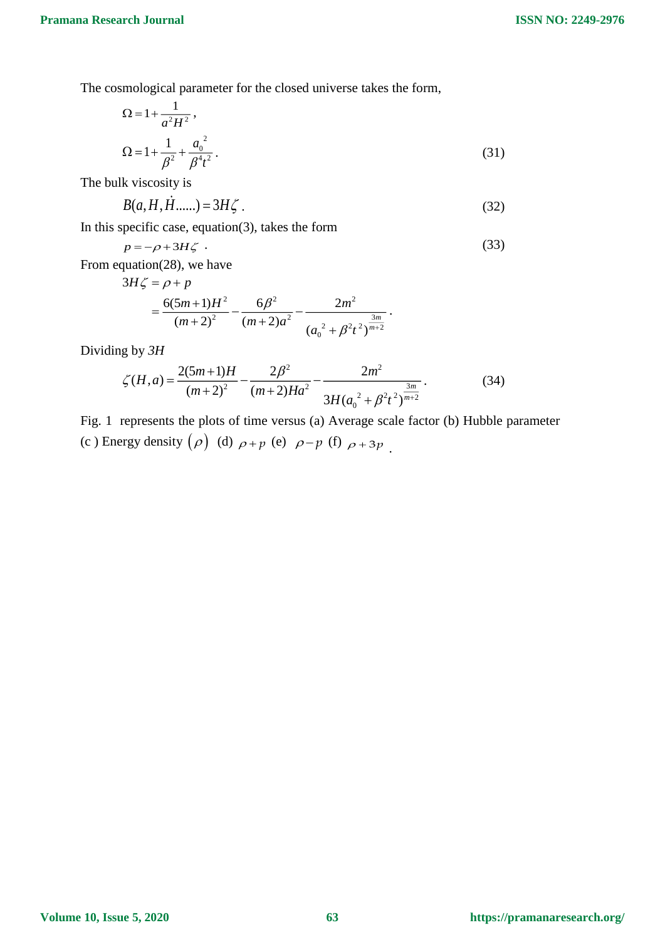The cosmological parameter for the closed universe takes the form,

$$
\Omega = 1 + \frac{1}{a^2 H^2},
$$
  
\n
$$
\Omega = 1 + \frac{1}{\beta^2} + \frac{a_0^2}{\beta^4 t^2}.
$$
\n(31)

The bulk viscosity is

$$
B(a, H, H, \dots) = 3H\zeta \tag{32}
$$

In this specific case, equation(3), takes the form

$$
p = -\rho + 3H\zeta \tag{33}
$$

From equation(28), we have

$$
3H\zeta = \rho + p
$$
  
= 
$$
\frac{6(5m+1)H^2}{(m+2)^2} - \frac{6\beta^2}{(m+2)a^2} - \frac{2m^2}{(a_0^2 + \beta^2 t^2)^{\frac{3m}{m+2}}}
$$
.

Dividing by *3H*

$$
\zeta(H, a) = \frac{2(5m+1)H}{(m+2)^2} - \frac{2\beta^2}{(m+2)Ha^2} - \frac{2m^2}{3H(a_0^2 + \beta^2 t^2)^{\frac{3m}{m+2}}}.
$$
(34)

Fig. 1 represents the plots of time versus (a) Average scale factor (b) Hubble parameter (c) Energy density  $(\rho)$  (d)  $\rho + p$  (e)  $\rho - p$  (f)  $\rho + 3p$ .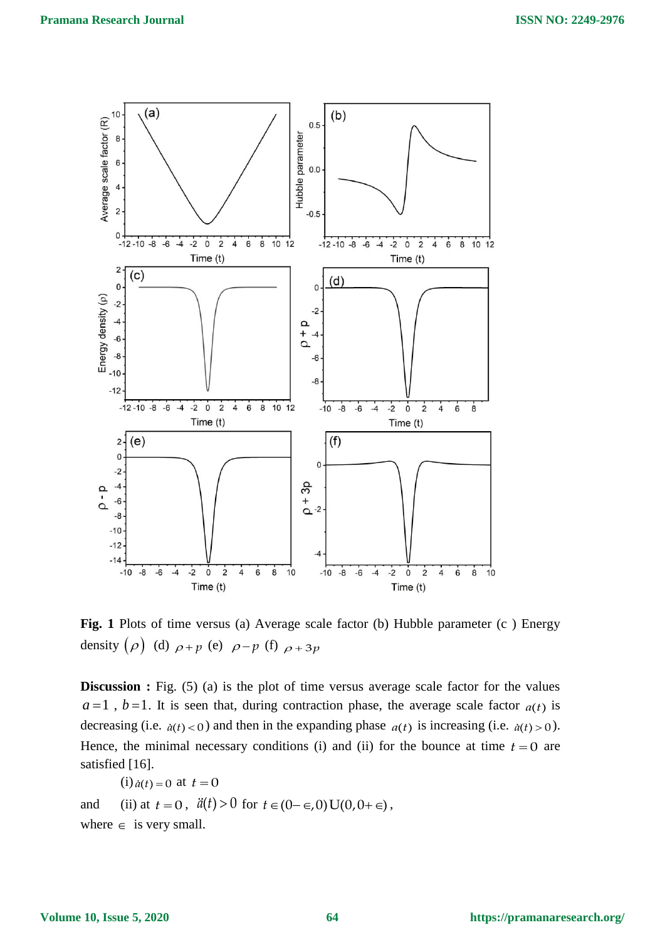

**Fig. 1** Plots of time versus (a) Average scale factor (b) Hubble parameter (c ) Energy density  $(\rho)$  (d)  $\rho + p$  (e)  $\rho - p$  (f)  $\rho + 3p$ 

**Discussion :** Fig. (5) (a) is the plot of time versus average scale factor for the values  $a=1$ ,  $b=1$ . It is seen that, during contraction phase, the average scale factor  $a(t)$  is decreasing (i.e.  $\dot{a}(t) < 0$ ) and then in the expanding phase  $a(t)$  is increasing (i.e.  $\dot{a}(t) > 0$ ). Hence, the minimal necessary conditions (i) and (ii) for the bounce at time  $t = 0$  are satisfied [16].

(i) 
$$
\dot{a}(t) = 0
$$
 at  $t = 0$ 

and (ii) at  $t = 0$ ,  $\ddot{a}(t) > 0$  for  $t \in (0 - \epsilon, 0)$  U(0,0+ $\epsilon$ ), where  $\in$  is very small.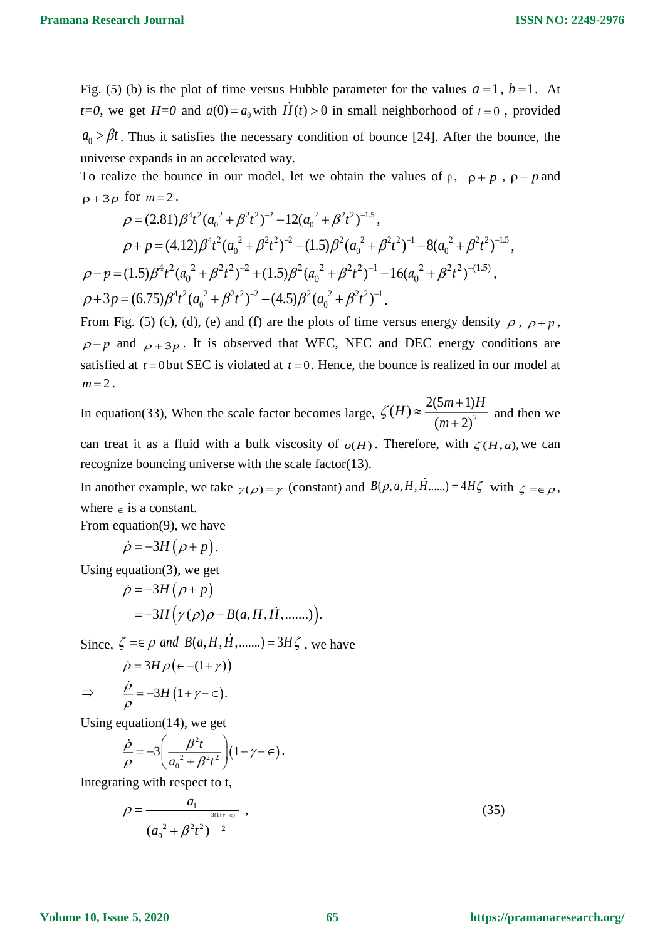Fig. (5) (b) is the plot of time versus Hubble parameter for the values  $a=1$ ,  $b=1$ . At *t*=0, we get *H*=0 and  $a(0) = a_0$  with *H*(*t*) > 0 in small neighborhood of *t* = 0, provided  $a_0 > \beta t$ . Thus it satisfies the necessary condition of bounce [24]. After the bounce, the universe expands in an accelerated way.

To realize the bounce in our model, let we obtain the values of  $\rho$ ,  $\rho + p$ ,  $\rho - p$  and  $p+3p$  for  $m=2$ .

$$
\rho = (2.81)\beta^4 t^2 (a_0^2 + \beta^2 t^2)^{-2} - 12(a_0^2 + \beta^2 t^2)^{-1.5},
$$
  
\n
$$
\rho + p = (4.12)\beta^4 t^2 (a_0^2 + \beta^2 t^2)^{-2} - (1.5)\beta^2 (a_0^2 + \beta^2 t^2)^{-1} - 8(a_0^2 + \beta^2 t^2)^{-1.5},
$$
  
\n
$$
\rho - p = (1.5)\beta^4 t^2 (a_0^2 + \beta^2 t^2)^{-2} + (1.5)\beta^2 (a_0^2 + \beta^2 t^2)^{-1} - 16(a_0^2 + \beta^2 t^2)^{-(1.5)},
$$
  
\n
$$
\rho + 3p = (6.75)\beta^4 t^2 (a_0^2 + \beta^2 t^2)^{-2} - (4.5)\beta^2 (a_0^2 + \beta^2 t^2)^{-1}.
$$

From Fig. (5) (c), (d), (e) and (f) are the plots of time versus energy density  $\rho$ ,  $\rho + p$ ,  $\rho$ -p and  $\rho$ +3p. It is observed that WEC, NEC and DEC energy conditions are satisfied at  $t = 0$  but SEC is violated at  $t = 0$ . Hence, the bounce is realized in our model at  $m = 2$ .

In equation(33), When the scale factor becomes large,  $\zeta(H) \approx \frac{2(5m+1)}{2(1-\lambda)^2}$  $(m+2)$  $H \geq \frac{2(5m+1)H}{2}$ *m*  $\zeta(H) \approx \frac{2(5m+1)H}{(m+2)^2}$  and then we

can treat it as a fluid with a bulk viscosity of  $o(H)$ . Therefore, with  $\zeta(H, a)$ , we can recognize bouncing universe with the scale factor(13).

In another example, we take  $\gamma(\rho) = \gamma$  (constant) and  $B(\rho, a, H, H, \dots) = 4H\zeta$  with  $\zeta = \epsilon \rho$ , where  $\in$  is a constant.

From equation(9), we have

$$
\dot{\rho} = -3H(\rho + p).
$$

Using equation(3), we get

$$
\dot{\rho} = -3H(\rho + p)
$$
  
= -3H(\gamma(\rho)\rho - B(a, H, \dot{H}, \dots)).

Since,  $\zeta = \epsilon \rho$  and  $B(a, H, H, \dots) = 3H\zeta$ , we have

$$
\dot{\rho} = 3H \rho (\epsilon - (1 + \gamma))
$$
  
\n
$$
\Rightarrow \qquad \frac{\dot{\rho}}{\rho} = -3H (1 + \gamma - \epsilon).
$$

Using equation(14), we get

$$
\frac{\dot{\rho}}{\rho} = -3 \left( \frac{\beta^2 t}{a_0^2 + \beta^2 t^2} \right) (1 + \gamma - \epsilon).
$$

Integrating with respect to t,

$$
\rho = \frac{a_1}{\left(a_0^2 + \beta^2 t^2\right)^{\frac{3(1+\gamma+\epsilon)}{2}}},\tag{35}
$$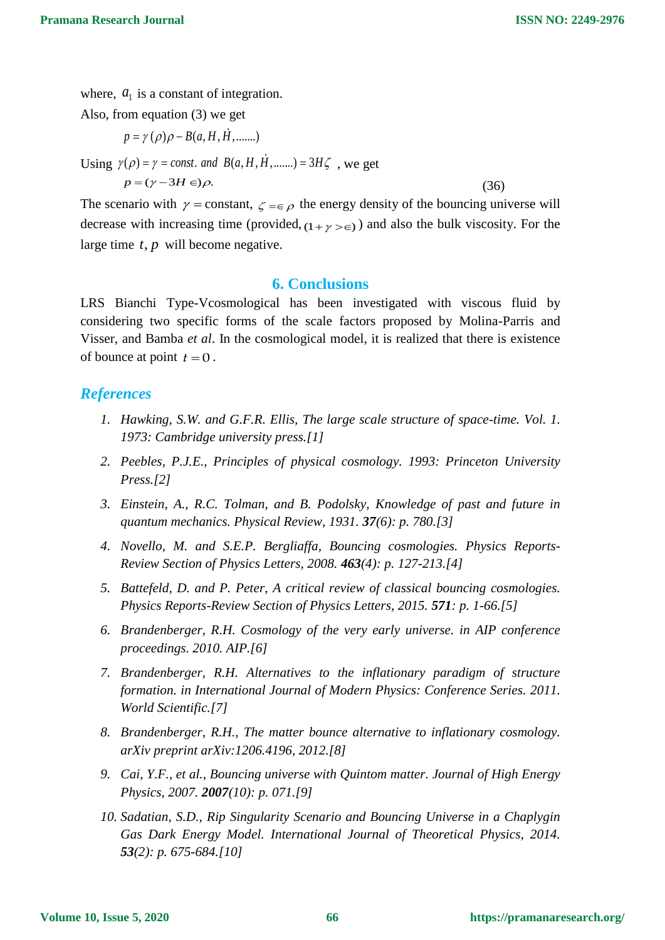where,  $a_1$  is a constant of integration.

Also, from equation (3) we get

$$
p = \gamma(\rho)\rho - B(a, H, H, \dots)
$$

Using 
$$
\gamma(\rho) = \gamma = \text{const.}
$$
 and  $B(a, H, H, \dots) = 3H\zeta$ , we get

 $p = (\gamma - 3H \in) \rho$ .

(36)

The scenario with  $\gamma$  = constant,  $\zeta = \epsilon \rho$  the energy density of the bouncing universe will decrease with increasing time (provided,  $(1 + \gamma > \epsilon)$ ) and also the bulk viscosity. For the large time  $t$ ,  $p$  will become negative.

## **6. Conclusions**

LRS Bianchi Type-Vcosmological has been investigated with viscous fluid by considering two specific forms of the scale factors proposed by Molina-Parris and Visser, and Bamba *et al*. In the cosmological model, it is realized that there is existence of bounce at point  $t = 0$ .

# *References*

- *1. Hawking, S.W. and G.F.R. Ellis, The large scale structure of space-time. Vol. 1. 1973: Cambridge university press.[1]*
- *2. Peebles, P.J.E., Principles of physical cosmology. 1993: Princeton University Press.[2]*
- *3. Einstein, A., R.C. Tolman, and B. Podolsky, Knowledge of past and future in quantum mechanics. Physical Review, 1931. 37(6): p. 780.[3]*
- *4. Novello, M. and S.E.P. Bergliaffa, Bouncing cosmologies. Physics Reports-Review Section of Physics Letters, 2008. 463(4): p. 127-213.[4]*
- *5. Battefeld, D. and P. Peter, A critical review of classical bouncing cosmologies. Physics Reports-Review Section of Physics Letters, 2015. 571: p. 1-66.[5]*
- *6. Brandenberger, R.H. Cosmology of the very early universe. in AIP conference proceedings. 2010. AIP.[6]*
- *7. Brandenberger, R.H. Alternatives to the inflationary paradigm of structure formation. in International Journal of Modern Physics: Conference Series. 2011. World Scientific.[7]*
- *8. Brandenberger, R.H., The matter bounce alternative to inflationary cosmology. arXiv preprint arXiv:1206.4196, 2012.[8]*
- *9. Cai, Y.F., et al., Bouncing universe with Quintom matter. Journal of High Energy Physics, 2007. 2007(10): p. 071.[9]*
- *10. Sadatian, S.D., Rip Singularity Scenario and Bouncing Universe in a Chaplygin Gas Dark Energy Model. International Journal of Theoretical Physics, 2014. 53(2): p. 675-684.[10]*